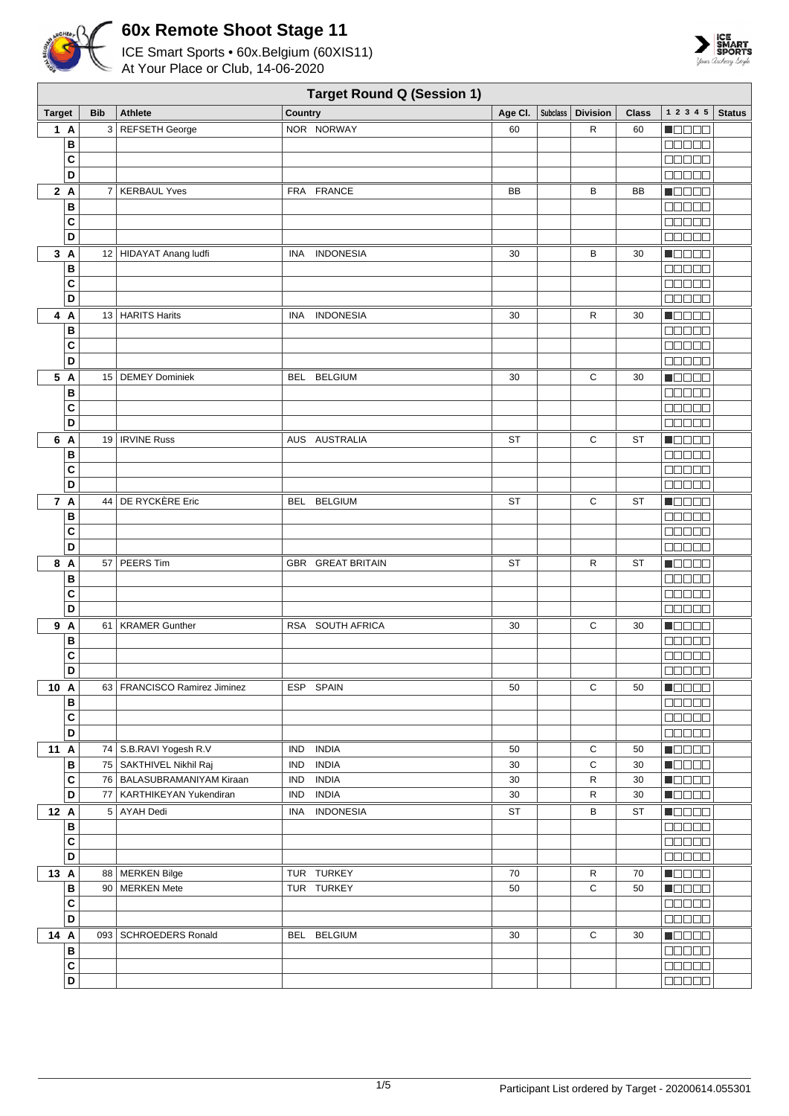



|               |              |            |                                |            | <b>Target Round Q (Session 1)</b> |           |                     |              |                            |               |
|---------------|--------------|------------|--------------------------------|------------|-----------------------------------|-----------|---------------------|--------------|----------------------------|---------------|
| <b>Target</b> |              | <b>Bib</b> | <b>Athlete</b>                 | Country    |                                   | Age Cl.   | Subclass   Division | <b>Class</b> | 1 2 3 4 5                  | <b>Status</b> |
| 1A            |              |            | 3 REFSETH George               |            | NOR NORWAY                        | 60        | R                   | 60           | <b>MODOO</b>               |               |
|               | В            |            |                                |            |                                   |           |                     |              | a da da                    |               |
|               | C            |            |                                |            |                                   |           |                     |              | 88888                      |               |
|               | D            |            |                                |            |                                   |           |                     |              | <b>ODDDD</b>               |               |
| 2A            |              |            | 7   KERBAUL Yves               |            | FRA FRANCE                        | BB        | В                   | BB           | n 8888                     |               |
|               | В            |            |                                |            |                                   |           |                     |              | 00000                      |               |
|               | C            |            |                                |            |                                   |           |                     |              | 80000                      |               |
|               | D            |            |                                |            |                                   |           |                     |              |                            |               |
| 3A            |              |            | 12 HIDAYAT Anang ludfi         | <b>INA</b> | <b>INDONESIA</b>                  | 30        | В                   | 30           | Maaaa                      |               |
|               | В            |            |                                |            |                                   |           |                     |              | 88888                      |               |
|               | C            |            |                                |            |                                   |           |                     |              | 88888                      |               |
|               | D            |            |                                |            |                                   |           |                     |              | <b>BBBBB</b>               |               |
|               |              |            |                                |            |                                   |           |                     |              |                            |               |
| 4 A           |              |            | 13 HARITS Harits               | INA        | <b>INDONESIA</b>                  | 30        | R                   | 30           | Maaaa                      |               |
|               | В            |            |                                |            |                                   |           |                     |              | <b>BBBBB</b>               |               |
|               | C            |            |                                |            |                                   |           |                     |              | 80000                      |               |
|               | D            |            |                                |            |                                   |           |                     |              | 88888                      |               |
| 5 A           |              |            | 15   DEMEY Dominiek            |            | BEL BELGIUM                       | 30        | С                   | 30           | N O D O O                  |               |
|               | В            |            |                                |            |                                   |           |                     |              | MUN U U                    |               |
|               | C            |            |                                |            |                                   |           |                     |              | manaa                      |               |
|               | D            |            |                                |            |                                   |           |                     |              | 88888                      |               |
| 6 A           |              |            | 19   IRVINE Russ               |            | AUS AUSTRALIA                     | ST        | С                   | <b>ST</b>    | $\blacksquare$             |               |
|               | В            |            |                                |            |                                   |           |                     |              | a da da                    |               |
|               | C            |            |                                |            |                                   |           |                     |              | 80000                      |               |
|               | D            |            |                                |            |                                   |           |                     |              | <b>BBBBB</b>               |               |
| 7 A           |              |            | 44 DE RYCKÈRE Eric             | BEL        | <b>BELGIUM</b>                    | ST        | С                   | <b>ST</b>    | HOOOO                      |               |
|               | В            |            |                                |            |                                   |           |                     |              | 88888                      |               |
|               | C            |            |                                |            |                                   |           |                     |              | a da da                    |               |
|               | D            |            |                                |            |                                   |           |                     |              | 88888                      |               |
| 8 A           |              |            | 57 PEERS Tim                   |            | <b>GBR GREAT BRITAIN</b>          | <b>ST</b> | R                   | ST           | M O O O O                  |               |
|               | В            |            |                                |            |                                   |           |                     |              | an na n                    |               |
|               | C            |            |                                |            |                                   |           |                     |              | <b>NODOO</b>               |               |
|               | D            |            |                                |            |                                   |           |                     |              | 00000                      |               |
| 9 A           |              |            | 61   KRAMER Gunther            |            | RSA SOUTH AFRICA                  | 30        | С                   | 30           | <b>N</b> OOOO              |               |
|               | В            |            |                                |            |                                   |           |                     |              | <b>BEBBE</b>               |               |
|               | C            |            |                                |            |                                   |           |                     |              | 00000                      |               |
|               | D            |            |                                |            |                                   |           |                     |              | 88888                      |               |
| 10 A          |              |            | 63   FRANCISCO Ramirez Jiminez |            | ESP SPAIN                         | 50        | С                   | 50           | <u>Manala</u>              |               |
|               | В            |            |                                |            |                                   |           |                     |              | <b>00000</b>               |               |
|               | С            |            |                                |            |                                   |           |                     |              | 88888                      |               |
|               | D            |            |                                |            |                                   |           |                     |              | 88888                      |               |
| 11 A          |              |            | 74   S.B.RAVI Yogesh R.V       | <b>IND</b> | <b>INDIA</b>                      | 50        | С                   | 50           | Ma Bisa                    |               |
|               | В            |            | 75 SAKTHIVEL Nikhil Raj        | <b>IND</b> | <b>INDIA</b>                      | 30        | C                   | 30           | <b>HEBBE</b>               |               |
|               | C            |            | 76   BALASUBRAMANIYAM Kiraan   | IND        | <b>INDIA</b>                      | 30        | R                   | 30           | <b>HELLE</b>               |               |
|               | D            |            | 77   KARTHIKEYAN Yukendiran    | <b>IND</b> | <b>INDIA</b>                      | 30        | $\mathsf{R}$        | 30           | <b>Maca</b>                |               |
| 12 A          |              |            | 5 AYAH Dedi                    |            | INA INDONESIA                     | ST        | в                   | ST           | Maaaa                      |               |
|               | в            |            |                                |            |                                   |           |                     |              | 80000                      |               |
|               | C<br>D       |            |                                |            |                                   |           |                     |              | 88888                      |               |
|               |              |            |                                |            |                                   |           |                     |              | 88888                      |               |
| 13 A          |              |            | 88   MERKEN Bilge              |            | TUR TURKEY                        | 70        | $\mathsf{R}$        | 70           | <u> El Sec</u>             |               |
|               | В            |            | 90 MERKEN Mete                 |            | TUR TURKEY                        | 50        | C                   | 50           | $\blacksquare$             |               |
|               | C<br>D       |            |                                |            |                                   |           |                     |              | $\Box \Box \Box \Box \Box$ |               |
|               |              |            |                                |            |                                   |           |                     |              |                            |               |
| 14 A          |              |            | 093   SCHROEDERS Ronald        |            | BEL BELGIUM                       | 30        | C                   | 30           | $\blacksquare$             |               |
|               | В            |            |                                |            |                                   |           |                     |              | 88888                      |               |
|               | $\mathbf{C}$ |            |                                |            |                                   |           |                     |              | <b>REBEE</b>               |               |
|               | D            |            |                                |            |                                   |           |                     |              | 00000                      |               |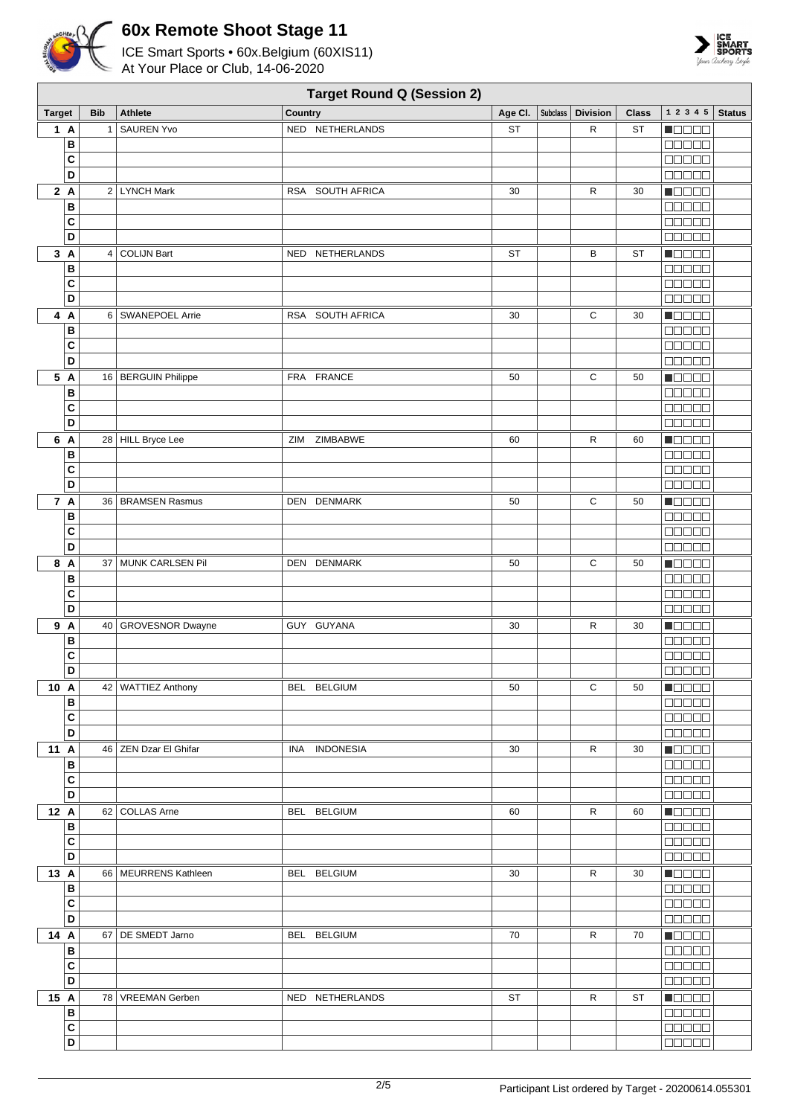



|                |            | <b>Target Round Q (Session 2)</b> |                  |           |          |                 |              |                                                        |               |  |  |  |  |  |
|----------------|------------|-----------------------------------|------------------|-----------|----------|-----------------|--------------|--------------------------------------------------------|---------------|--|--|--|--|--|
| <b>Target</b>  | <b>Bib</b> | <b>Athlete</b>                    | Country          | Age Cl.   | Subclass | <b>Division</b> | <b>Class</b> | 1 2 3 4 5                                              | <b>Status</b> |  |  |  |  |  |
| 1A             | 1          | <b>SAUREN Yvo</b>                 | NED NETHERLANDS  | <b>ST</b> |          | R               | ST           | <b>NODOD</b>                                           |               |  |  |  |  |  |
| B              |            |                                   |                  |           |          |                 |              | 00000                                                  |               |  |  |  |  |  |
| C              |            |                                   |                  |           |          |                 |              | <b>BBBBB</b>                                           |               |  |  |  |  |  |
| D              |            |                                   |                  |           |          |                 |              | <b>BEBBB</b>                                           |               |  |  |  |  |  |
| 2A             |            | 2 LYNCH Mark                      | RSA SOUTH AFRICA | 30        |          | R               | 30           | n 8888                                                 |               |  |  |  |  |  |
| B              |            |                                   |                  |           |          |                 |              | <b>BBBBB</b>                                           |               |  |  |  |  |  |
| C              |            |                                   |                  |           |          |                 |              | 00000                                                  |               |  |  |  |  |  |
| D              |            |                                   |                  |           |          |                 |              | $\Box \Box \Box \Box \Box$                             |               |  |  |  |  |  |
| 3A             |            | 4 COLIJN Bart                     | NED NETHERLANDS  | <b>ST</b> |          | В               | <b>ST</b>    | Maaaa                                                  |               |  |  |  |  |  |
| В              |            |                                   |                  |           |          |                 |              | $\Box \Box \Box \Box \Box$                             |               |  |  |  |  |  |
| C              |            |                                   |                  |           |          |                 |              | 00000                                                  |               |  |  |  |  |  |
| D              |            |                                   |                  |           |          |                 |              | <b>BBBBB</b>                                           |               |  |  |  |  |  |
|                |            |                                   |                  |           |          |                 |              |                                                        |               |  |  |  |  |  |
| 4 A            |            | 6 SWANEPOEL Arrie                 | RSA SOUTH AFRICA | 30        |          | С               | 30           | $\blacksquare$ $\square$ $\square$ $\blacksquare$      |               |  |  |  |  |  |
| В              |            |                                   |                  |           |          |                 |              | <b>BBBBB</b>                                           |               |  |  |  |  |  |
| C<br>D         |            |                                   |                  |           |          |                 |              | <b>00000</b>                                           |               |  |  |  |  |  |
|                |            |                                   |                  |           |          |                 |              | 00000                                                  |               |  |  |  |  |  |
| 5 A            |            | 16 BERGUIN Philippe               | FRA FRANCE       | 50        |          | С               | 50           | $\blacksquare$                                         |               |  |  |  |  |  |
| B              |            |                                   |                  |           |          |                 |              | <b>00000</b>                                           |               |  |  |  |  |  |
| $\mathbf c$    |            |                                   |                  |           |          |                 |              | $\Box\Box\Box\Box\Box$                                 |               |  |  |  |  |  |
| D              |            |                                   |                  |           |          |                 |              | anaan                                                  |               |  |  |  |  |  |
| 6 A            |            | 28 HILL Bryce Lee                 | ZIMBABWE<br>ZIM  | 60        |          | R               | 60           | $\blacksquare$                                         |               |  |  |  |  |  |
| B              |            |                                   |                  |           |          |                 |              | a da da                                                |               |  |  |  |  |  |
| C              |            |                                   |                  |           |          |                 |              | <b>BEEBE</b>                                           |               |  |  |  |  |  |
| D              |            |                                   |                  |           |          |                 |              | <b>00000</b>                                           |               |  |  |  |  |  |
| 7 A            |            | 36   BRAMSEN Rasmus               | DEN DENMARK      | 50        |          | С               | 50           | <b>Maaaa</b>                                           |               |  |  |  |  |  |
| B              |            |                                   |                  |           |          |                 |              | <b>00000</b>                                           |               |  |  |  |  |  |
| C              |            |                                   |                  |           |          |                 |              | <b>00000</b>                                           |               |  |  |  |  |  |
| D              |            |                                   |                  |           |          |                 |              | <b>BEBEE</b>                                           |               |  |  |  |  |  |
| 8 A            | 37         | MUNK CARLSEN Pil                  | DEN DENMARK      | 50        |          | С               | 50           | Maaaa                                                  |               |  |  |  |  |  |
| В              |            |                                   |                  |           |          |                 |              | <b>00000</b>                                           |               |  |  |  |  |  |
| C              |            |                                   |                  |           |          |                 |              |                                                        |               |  |  |  |  |  |
| D              |            |                                   |                  |           |          |                 |              | 00000                                                  |               |  |  |  |  |  |
| 9 A            |            | 40   GROVESNOR Dwayne             | GUY GUYANA       | 30        |          | R               | 30           | $\blacksquare$ $\square$ $\blacksquare$ $\blacksquare$ |               |  |  |  |  |  |
| В              |            |                                   |                  |           |          |                 |              |                                                        |               |  |  |  |  |  |
| C              |            |                                   |                  |           |          |                 |              | 00000                                                  |               |  |  |  |  |  |
| D              |            |                                   |                  |           |          |                 |              | 00000                                                  |               |  |  |  |  |  |
| 10 A           |            | 42   WATTIEZ Anthony              | BEL BELGIUM      | 50        |          | С               | 50           | <b>MODOOI</b>                                          |               |  |  |  |  |  |
| B              |            |                                   |                  |           |          |                 |              | $\Box$                                                 |               |  |  |  |  |  |
| $\mathbf{C}$   |            |                                   |                  |           |          |                 |              | 88888                                                  |               |  |  |  |  |  |
| D              |            |                                   |                  |           |          |                 |              | <b>00000</b>                                           |               |  |  |  |  |  |
| 11 A           |            | 46 ZEN Dzar El Ghifar             | INA INDONESIA    | 30        |          | R               | 30           | <b>Macao</b>                                           |               |  |  |  |  |  |
| $\, {\bf B}$   |            |                                   |                  |           |          |                 |              | 00000                                                  |               |  |  |  |  |  |
| $\mathbf{C}$   |            |                                   |                  |           |          |                 |              | $\Box$                                                 |               |  |  |  |  |  |
| D              |            |                                   |                  |           |          |                 |              | 00000                                                  |               |  |  |  |  |  |
| 12 A           |            | 62 COLLAS Arne                    | BEL BELGIUM      | 60        |          | R               | 60           | <b>Reces</b>                                           |               |  |  |  |  |  |
| B              |            |                                   |                  |           |          |                 |              | 00000                                                  |               |  |  |  |  |  |
| $\mathbf{C}$   |            |                                   |                  |           |          |                 |              | 888888                                                 |               |  |  |  |  |  |
| D              |            |                                   |                  |           |          |                 |              | $\Box \Box \Box \Box \Box$                             |               |  |  |  |  |  |
| 13 A           |            | 66   MEURRENS Kathleen            | BEL BELGIUM      | 30        |          | $\mathsf{R}$    | 30           | $\blacksquare$ $\blacksquare$                          |               |  |  |  |  |  |
| B              |            |                                   |                  |           |          |                 |              | $\Box \Box \Box \Box \Box$                             |               |  |  |  |  |  |
| $\mathbf{C}$   |            |                                   |                  |           |          |                 |              | 00000                                                  |               |  |  |  |  |  |
| D              |            |                                   |                  |           |          |                 |              |                                                        |               |  |  |  |  |  |
| 14 A           |            | 67   DE SMEDT Jarno               | BEL BELGIUM      | 70        |          | R               | 70           | $\blacksquare$                                         |               |  |  |  |  |  |
| В              |            |                                   |                  |           |          |                 |              | <b>00000</b>                                           |               |  |  |  |  |  |
| $\mathbf{C}$   |            |                                   |                  |           |          |                 |              | $\Box \Box \Box \Box \Box$                             |               |  |  |  |  |  |
| D              |            |                                   |                  |           |          |                 |              | <b>00000</b>                                           |               |  |  |  |  |  |
| 15 A           |            | 78   VREEMAN Gerben               | NED NETHERLANDS  | ST        |          | R               | ST           | $\blacksquare$                                         |               |  |  |  |  |  |
| B              |            |                                   |                  |           |          |                 |              | $\Box$ $\Box$ $\Box$ $\Box$ $\Box$                     |               |  |  |  |  |  |
| $\overline{c}$ |            |                                   |                  |           |          |                 |              |                                                        |               |  |  |  |  |  |
| D              |            |                                   |                  |           |          |                 |              | 00000                                                  |               |  |  |  |  |  |
|                |            |                                   |                  |           |          |                 |              |                                                        |               |  |  |  |  |  |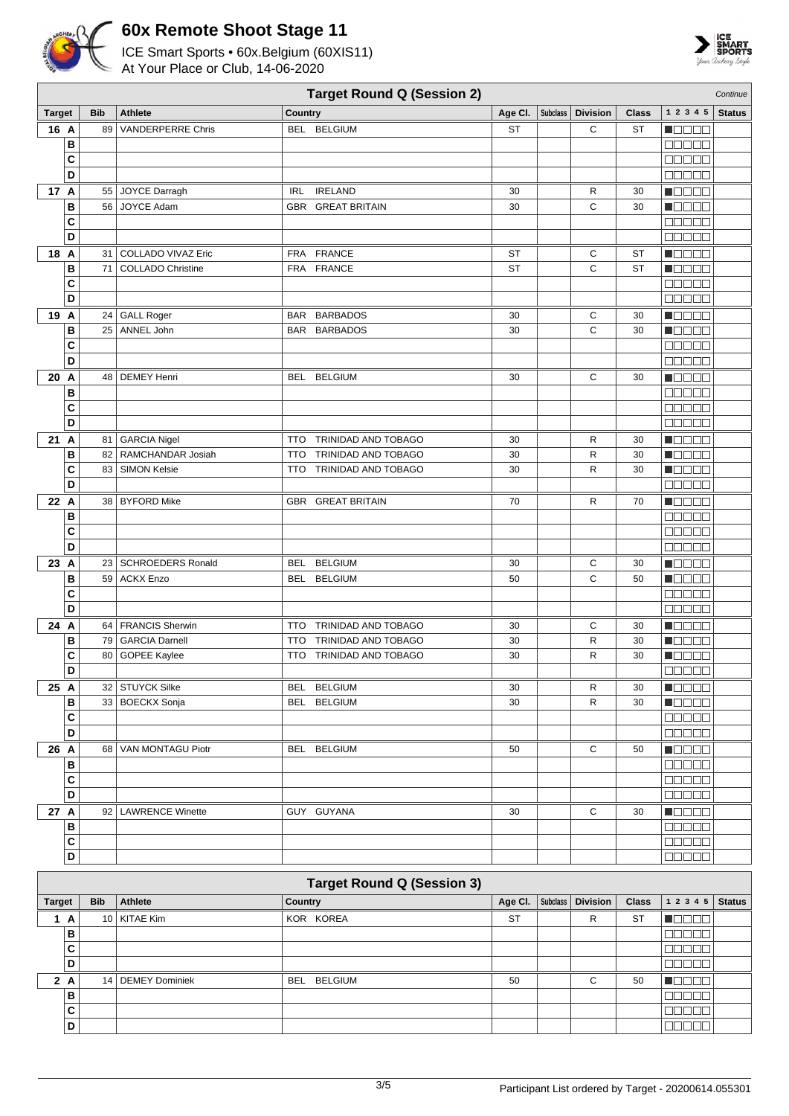



|               |              |                           | <b>Target Round Q (Session 2)</b>            |           |                 |                 |              |                                              | Continue      |
|---------------|--------------|---------------------------|----------------------------------------------|-----------|-----------------|-----------------|--------------|----------------------------------------------|---------------|
| <b>Target</b> | <b>Bib</b>   | Athlete                   | Country                                      | Age Cl.   | <b>Subclass</b> | <b>Division</b> | <b>Class</b> | 1 2 3 4 5                                    | <b>Status</b> |
| 16 A          | 89           | <b>VANDERPERRE Chris</b>  | BEL BELGIUM                                  | <b>ST</b> |                 | C               | <b>ST</b>    | n do o a                                     |               |
|               | B            |                           |                                              |           |                 |                 |              | an da a                                      |               |
|               | C            |                           |                                              |           |                 |                 |              | <b>BBBBB</b>                                 |               |
|               | D            |                           |                                              |           |                 |                 |              | 00000                                        |               |
| 17 A          |              | 55 JOYCE Darragh          | <b>IRL</b><br><b>IRELAND</b>                 | 30        |                 | R               | 30           | N E E E E                                    |               |
|               | B<br>56      | <b>JOYCE Adam</b>         | <b>GBR GREAT BRITAIN</b>                     | 30        |                 | C               | 30           | <b>NOOOO</b>                                 |               |
|               | C            |                           |                                              |           |                 |                 |              | 00000                                        |               |
|               | D            |                           |                                              |           |                 |                 |              | <b>MOOOO</b>                                 |               |
| 18 A          | 31           | <b>COLLADO VIVAZ Eric</b> | <b>FRA</b><br><b>FRANCE</b>                  | <b>ST</b> |                 | С               | <b>ST</b>    | MOO BE                                       |               |
|               | B<br>71      | <b>COLLADO Christine</b>  | FRA FRANCE                                   | <b>ST</b> |                 | C               | <b>ST</b>    | HOOOO                                        |               |
|               | C            |                           |                                              |           |                 |                 |              | 00000                                        |               |
|               | D            |                           |                                              |           |                 |                 |              | <b>COOCO</b>                                 |               |
| 19 A          |              | 24 GALL Roger             | BAR BARBADOS                                 | 30        |                 | С               | 30           | Maaala                                       |               |
|               | B            | 25 ANNEL John             | <b>BAR BARBADOS</b>                          | 30        |                 | C               | 30           | $\Box$ $\Box$ $\Box$ $\Box$                  |               |
|               | C            |                           |                                              |           |                 |                 |              | <b>NODER</b>                                 |               |
|               | D            |                           |                                              |           |                 |                 |              | 88888                                        |               |
| 20 A          |              | 48 DEMEY Henri            | BEL BELGIUM                                  | 30        |                 | C               | 30           | NO SE S                                      |               |
|               | B            |                           |                                              |           |                 |                 |              | <b>00000</b>                                 |               |
|               | C            |                           |                                              |           |                 |                 |              | <b>COOOC</b>                                 |               |
|               | D            |                           |                                              |           |                 |                 |              | 00000                                        |               |
| 21 A          |              | 81   GARCIA Nigel         | TRINIDAD AND TOBAGO<br><b>TTO</b>            | 30        |                 | R               | 30           | <b>MODOO</b>                                 |               |
|               | B<br>82      | RAMCHANDAR Josiah         | TRINIDAD AND TOBAGO<br><b>TTO</b>            | 30        |                 | R               | 30           | n Eleis e                                    |               |
|               | C            | 83   SIMON Kelsie         | TTO TRINIDAD AND TOBAGO                      | 30        |                 | R               | 30           | Maaaa                                        |               |
|               | D            |                           |                                              |           |                 |                 |              | 00000                                        |               |
| 22 A          |              | 38   BYFORD Mike          | <b>GBR GREAT BRITAIN</b>                     | 70        |                 | R               | 70           | n 888 a                                      |               |
|               | B            |                           |                                              |           |                 |                 |              | 00000                                        |               |
|               | C            |                           |                                              |           |                 |                 |              | <b>BBBBB</b>                                 |               |
|               | D            |                           |                                              |           |                 |                 |              | <b>MOOOO</b>                                 |               |
| 23 A          |              | 23   SCHROEDERS Ronald    | <b>BELGIUM</b><br><b>BEL</b>                 | 30        |                 | С               | 30           | M S S S S                                    |               |
|               | B            | 59 ACKX Enzo              | BEL BELGIUM                                  | 50        |                 | С               | 50           | n Oo Oo                                      |               |
|               | C            |                           |                                              |           |                 |                 |              | 00000                                        |               |
|               | D            |                           |                                              |           |                 |                 |              | $\Box$ $\Box$ $\Box$ $\Box$ $\Box$           |               |
| 24 A          |              | 64   FRANCIS Sherwin      | <b>TRINIDAD AND TOBAGO</b><br>TTO            | 30        |                 | С               | 30           | <b>NOBED</b>                                 |               |
|               | B<br>79      | <b>GARCIA Darnell</b>     | TRINIDAD AND TOBAGO<br><b>TTO</b>            | 30        |                 | R               | 30           | MOOOC                                        |               |
|               | C<br>80      | <b>GOPEE Kaylee</b>       | TRINIDAD AND TOBAGO<br>TTO                   | 30        |                 | $\mathsf{R}$    | 30           | HOOOO                                        |               |
|               | D            |                           |                                              |           |                 |                 |              | $\Box$                                       |               |
| 25 A          |              | 32 STUYCK Silke           | BEL BELGIUM                                  | 30        |                 | R               | 30           | $\blacksquare$                               |               |
|               | B            | 33 BOECKX Sonja           | BEL BELGIUM                                  | 30        |                 | R               | 30           | <b>H</b> OOOO                                |               |
|               | $\mathbf{C}$ |                           |                                              |           |                 |                 |              | 88888                                        |               |
|               | D            |                           |                                              |           |                 |                 |              | 88888                                        |               |
| 26 A          |              | 68   VAN MONTAGU Piotr    | BEL BELGIUM                                  | 50        |                 | С               | 50           | $\blacksquare$ $\blacksquare$ $\blacksquare$ |               |
|               | B            |                           |                                              |           |                 |                 |              | <b>00000</b>                                 |               |
|               | C            |                           |                                              |           |                 |                 |              | <b>00000</b>                                 |               |
|               | D            |                           |                                              |           |                 |                 |              | <b>COOCO</b>                                 |               |
| 27 A          |              | 92   LAWRENCE Winette     | GUY GUYANA                                   | 30        |                 | С               | 30           | Maaaa                                        |               |
|               | В            |                           |                                              |           |                 |                 |              | $\Box \Box \Box \Box \Box$                   |               |
|               | C            |                           |                                              |           |                 |                 |              | 00000                                        |               |
|               | D            |                           |                                              |           |                 |                 |              | 00000                                        |               |
|               |              |                           | $\mathbf{A}$ Defined $\mathbf{A}$ (Constant) |           |                 |                 |              |                                              |               |

|               | <b>Target Round Q (Session 3)</b> |                 |                |             |           |  |                     |              |              |               |  |  |  |
|---------------|-----------------------------------|-----------------|----------------|-------------|-----------|--|---------------------|--------------|--------------|---------------|--|--|--|
| <b>Target</b> |                                   | <b>Bib</b>      | Athlete        | Country     | Age Cl.   |  | Subclass   Division | <b>Class</b> | 1 2 3 4 5    | <b>Status</b> |  |  |  |
| A             |                                   |                 | 10   KITAE Kim | KOR KOREA   | <b>ST</b> |  | R                   | <b>ST</b>    | na mana      |               |  |  |  |
|               | B                                 |                 |                |             |           |  |                     |              | TELE         |               |  |  |  |
|               | C                                 |                 |                |             |           |  |                     |              | noon         |               |  |  |  |
|               | D                                 |                 |                |             |           |  |                     |              | 30000        |               |  |  |  |
|               | 2A                                | 14 <sup>1</sup> | DEMEY Dominiek | BEL BELGIUM | 50        |  | С                   | 50           | TOOOO        |               |  |  |  |
|               | B                                 |                 |                |             |           |  |                     |              | TET          |               |  |  |  |
|               | C                                 |                 |                |             |           |  |                     |              | $\mathbb{H}$ |               |  |  |  |
|               | D                                 |                 |                |             |           |  |                     |              |              |               |  |  |  |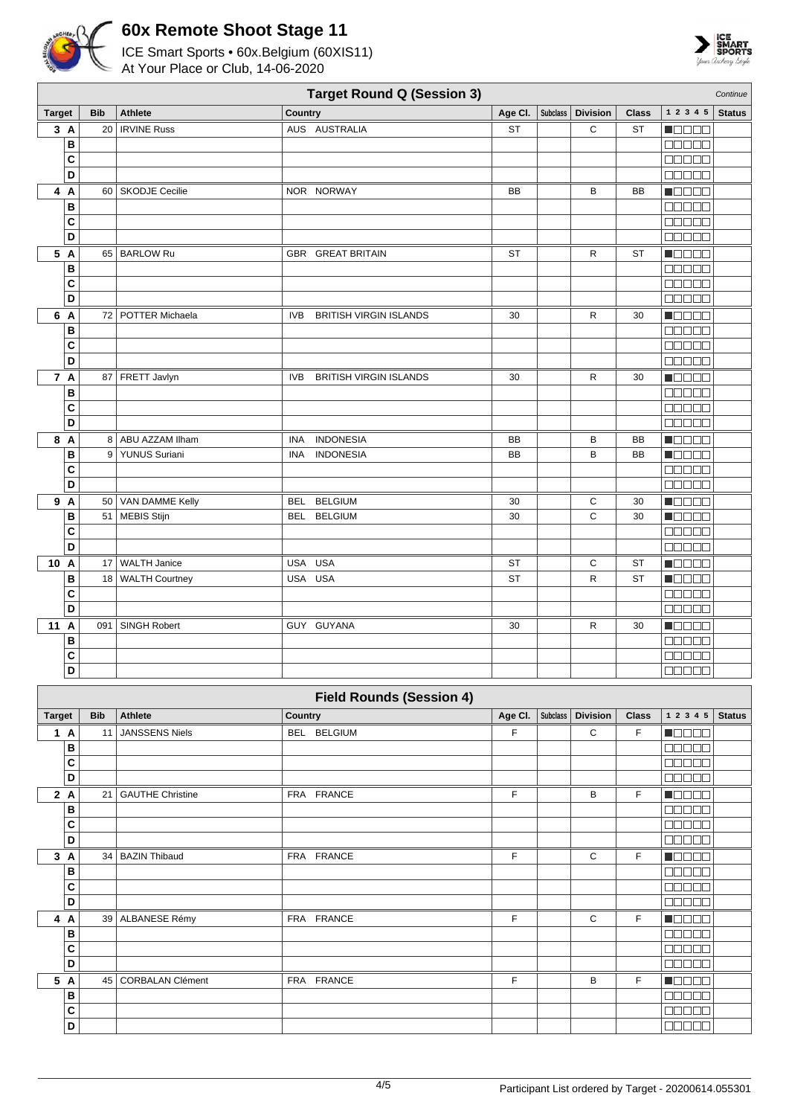



|               | <b>Target Round Q (Session 3)</b><br>Continue |                      |                                             |           |          |                 |              |                                                        |               |  |  |  |  |
|---------------|-----------------------------------------------|----------------------|---------------------------------------------|-----------|----------|-----------------|--------------|--------------------------------------------------------|---------------|--|--|--|--|
| <b>Target</b> | <b>Bib</b>                                    | <b>Athlete</b>       | Country                                     | Age CI.   | Subclass | <b>Division</b> | <b>Class</b> | 1 2 3 4 5                                              | <b>Status</b> |  |  |  |  |
| 3A            |                                               | 20   IRVINE Russ     | AUS AUSTRALIA                               | <b>ST</b> |          | C               | <b>ST</b>    | N DE BE                                                |               |  |  |  |  |
| В             |                                               |                      |                                             |           |          |                 |              | <b>noooo</b>                                           |               |  |  |  |  |
| C             |                                               |                      |                                             |           |          |                 |              | 00000                                                  |               |  |  |  |  |
| D             |                                               |                      |                                             |           |          |                 |              | <b>00000</b>                                           |               |  |  |  |  |
| 4 A           |                                               | 60   SKODJE Cecilie  | NOR NORWAY                                  | <b>BB</b> |          | В               | <b>BB</b>    | $\blacksquare$ $\square$ $\square$ $\square$           |               |  |  |  |  |
| B             |                                               |                      |                                             |           |          |                 |              | 00000                                                  |               |  |  |  |  |
| C             |                                               |                      |                                             |           |          |                 |              | 00000                                                  |               |  |  |  |  |
| D             |                                               |                      |                                             |           |          |                 |              | <b>00000</b>                                           |               |  |  |  |  |
| 5 A           |                                               | 65   BARLOW Ru       | GBR GREAT BRITAIN                           | ST        |          | R               | ST           | M O O O O                                              |               |  |  |  |  |
| В             |                                               |                      |                                             |           |          |                 |              | <b>00000</b>                                           |               |  |  |  |  |
| C             |                                               |                      |                                             |           |          |                 |              | 00000                                                  |               |  |  |  |  |
| D             |                                               |                      |                                             |           |          |                 |              | 00000                                                  |               |  |  |  |  |
| 6 A           |                                               | 72   POTTER Michaela | <b>IVB</b><br><b>BRITISH VIRGIN ISLANDS</b> | 30        |          | R               | 30           | $\blacksquare$                                         |               |  |  |  |  |
| В             |                                               |                      |                                             |           |          |                 |              | 00000                                                  |               |  |  |  |  |
| C             |                                               |                      |                                             |           |          |                 |              | 00000                                                  |               |  |  |  |  |
| D             |                                               |                      |                                             |           |          |                 |              | 88888                                                  |               |  |  |  |  |
| 7 A           |                                               | 87 FRETT Javlyn      | <b>IVB</b><br><b>BRITISH VIRGIN ISLANDS</b> | 30        |          | R               | 30           | N OO OO                                                |               |  |  |  |  |
| B             |                                               |                      |                                             |           |          |                 |              | $\Box \Box \Box \Box \Box$                             |               |  |  |  |  |
| $\mathbf{C}$  |                                               |                      |                                             |           |          |                 |              | $\Box$ $\Box$ $\Box$ $\Box$ $\Box$                     |               |  |  |  |  |
| D             |                                               |                      |                                             |           |          |                 |              | 00000                                                  |               |  |  |  |  |
| 8 A           |                                               | 8   ABU AZZAM Ilham  | <b>INDONESIA</b><br><b>INA</b>              | BB        |          | В               | BB           | $\blacksquare$                                         |               |  |  |  |  |
| В             |                                               | 9 YUNUS Suriani      | <b>INDONESIA</b><br><b>INA</b>              | <b>BB</b> |          | B               | <b>BB</b>    | <b>H</b> eede                                          |               |  |  |  |  |
| C             |                                               |                      |                                             |           |          |                 |              | <b>00000</b>                                           |               |  |  |  |  |
| D             |                                               |                      |                                             |           |          |                 |              | <b>BOD00</b>                                           |               |  |  |  |  |
| 9 A           |                                               | 50   VAN DAMME Kelly | <b>BELGIUM</b><br>BEL                       | 30        |          | С               | 30           | <b>Nacional</b>                                        |               |  |  |  |  |
| B             |                                               | 51   MEBIS Stijn     | BEL<br><b>BELGIUM</b>                       | 30        |          | C               | 30           | <b>Macar</b>                                           |               |  |  |  |  |
| C             |                                               |                      |                                             |           |          |                 |              | 00000                                                  |               |  |  |  |  |
| D             |                                               |                      |                                             |           |          |                 |              | 00000                                                  |               |  |  |  |  |
| 10 A          |                                               | 17 WALTH Janice      | USA USA                                     | <b>ST</b> |          | C               | <b>ST</b>    | $\blacksquare$ $\square$ $\blacksquare$ $\blacksquare$ |               |  |  |  |  |
| B             |                                               | 18 WALTH Courtney    | USA USA                                     | <b>ST</b> |          | R               | <b>ST</b>    | $\blacksquare$                                         |               |  |  |  |  |
| C             |                                               |                      |                                             |           |          |                 |              | 00000                                                  |               |  |  |  |  |
| D             |                                               |                      |                                             |           |          |                 |              | 00000                                                  |               |  |  |  |  |
| 11 A          | 091                                           | <b>SINGH Robert</b>  | GUY GUYANA                                  | 30        |          | R               | 30           | N OO OO                                                |               |  |  |  |  |
| В             |                                               |                      |                                             |           |          |                 |              | <b>BOD00</b>                                           |               |  |  |  |  |
| C             |                                               |                      |                                             |           |          |                 |              |                                                        |               |  |  |  |  |
| D             |                                               |                      |                                             |           |          |                 |              | <b>COOOO</b>                                           |               |  |  |  |  |
|               |                                               |                      | <b>Field Rounds (Session 4)</b>             |           |          |                 |              |                                                        |               |  |  |  |  |

|               | Field Rounds (Session 4) |                         |             |         |                 |                 |              |                                                             |               |  |  |  |  |
|---------------|--------------------------|-------------------------|-------------|---------|-----------------|-----------------|--------------|-------------------------------------------------------------|---------------|--|--|--|--|
| <b>Target</b> | <b>Bib</b>               | <b>Athlete</b>          | Country     | Age CI. | <b>Subclass</b> | <b>Division</b> | <b>Class</b> | 1 2 3 4 5                                                   | <b>Status</b> |  |  |  |  |
| A<br>1        | 11                       | <b>JANSSENS Niels</b>   | BEL BELGIUM | F       |                 | C               | F.           | n Booc                                                      |               |  |  |  |  |
| в             |                          |                         |             |         |                 |                 |              | $\Box \Box \Box \Box \Box$                                  |               |  |  |  |  |
| C             |                          |                         |             |         |                 |                 |              | 88888                                                       |               |  |  |  |  |
| D             |                          |                         |             |         |                 |                 |              | 00000                                                       |               |  |  |  |  |
| 2A            | 21                       | <b>GAUTHE Christine</b> | FRA FRANCE  | F       |                 | B               | F.           | Ma se s                                                     |               |  |  |  |  |
| в             |                          |                         |             |         |                 |                 |              | Maaaa                                                       |               |  |  |  |  |
| C             |                          |                         |             |         |                 |                 |              | 80000                                                       |               |  |  |  |  |
| D             |                          |                         |             |         |                 |                 |              | 00000                                                       |               |  |  |  |  |
| 3<br>A        |                          | 34 BAZIN Thibaud        | FRA FRANCE  | F       |                 | C               | F            | MOOOO                                                       |               |  |  |  |  |
| в             |                          |                         |             |         |                 |                 |              | a a a a a                                                   |               |  |  |  |  |
| C             |                          |                         |             |         |                 |                 |              | an na                                                       |               |  |  |  |  |
| D             |                          |                         |             |         |                 |                 |              | $\Box$                                                      |               |  |  |  |  |
| 4<br>A        |                          | 39 ALBANESE Rémy        | FRA FRANCE  | F       |                 | C               | F            | <b>HOOOO</b>                                                |               |  |  |  |  |
| в             |                          |                         |             |         |                 |                 |              | e e e e e                                                   |               |  |  |  |  |
| C             |                          |                         |             |         |                 |                 |              | $\blacksquare$ $\blacksquare$ $\blacksquare$ $\blacksquare$ |               |  |  |  |  |
| D             |                          |                         |             |         |                 |                 |              | <b>BOBBB</b>                                                |               |  |  |  |  |
| 5<br>A        |                          | 45   CORBALAN Clément   | FRA FRANCE  | F       |                 | B               | F.           | HOOOO                                                       |               |  |  |  |  |
| В             |                          |                         |             |         |                 |                 |              | nnnn                                                        |               |  |  |  |  |
| C             |                          |                         |             |         |                 |                 |              | 88888                                                       |               |  |  |  |  |
| D             |                          |                         |             |         |                 |                 |              | <b>BEBEE</b>                                                |               |  |  |  |  |